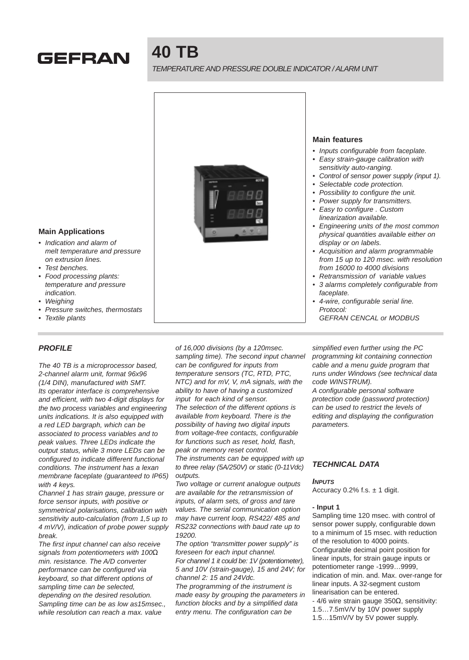

# **40 TB**

# TEMPERATURE AND PRESSURE DOUBLE INDICATOR / ALARM UNIT



• 4-wire, configurable serial line. Protocol: GEFRAN CENCAL or MODBUS

• Indication and alarm of melt temperature and pressure

on extrusion lines. • Test benches.

**Main Applications**

- Food processing plants: temperature and pressure indication.
- Weighing
- Pressure switches, thermostats
- **Textile plants**

# **PROFILE**

The 40 TB is a microprocessor based, 2-channel alarm unit, format 96x96 (1/4 DIN), manufactured with SMT. Its operator interface is comprehensive and efficient, with two 4-digit displays for the two process variables and engineering units indications. It is also equipped with a red LED bargraph, which can be associated to process variables and to peak values. Three LEDs indicate the output status, while 3 more LEDs can be configured to indicate different functional conditions. The instrument has a lexan membrane faceplate (guaranteed to IP65) with 4 keys.

Channel 1 has strain gauge, pressure or force sensor inputs, with positive or symmetrical polarisations, calibration with sensitivity auto-calculation (from 1,5 up to 4 mV/V), indication of probe power supply break.

The first input channel can also receive signals from potentiometers with 100Ω min. resistance. The A/D converter performance can be configured via keyboard, so that different options of sampling time can be selected, depending on the desired resolution. Sampling time can be as low as15msec., while resolution can reach a max. value

of 16,000 divisions (by a 120msec. sampling time). The second input channel can be configured for inputs from temperature sensors (TC, RTD, PTC, NTC) and for mV, V, mA signals, with the ability to have of having a customized input for each kind of sensor. The selection of the different options is available from keyboard. There is the possibility of having two digital inputs from voltage-free contacts, configurable for functions such as reset, hold, flash, peak or memory reset control.

The instruments can be equipped with up to three relay (5A/250V) or static (0-11Vdc) outputs.

Two voltage or current analogue outputs are available for the retransmission of inputs, of alarm sets, of gross and tare values. The serial communication option may have current loop, RS422/ 485 and RS232 connections with baud rate up to 19200.

The option "transmitter power supply" is foreseen for each input channel. For channel 1 it could be: 1V (potentiometer), 5 and 10V (strain-gauge), 15 and 24V; for channel 2: 15 and 24Vdc.

The programming of the instrument is made easy by grouping the parameters in function blocks and by a simplified data entry menu. The configuration can be

simplified even further using the PC programming kit containing connection cable and a menu guide program that runs under Windows (see technical data code WINSTRUM).

A configurable personal software protection code (password protection) can be used to restrict the levels of editing and displaying the configuration parameters.

# **TECHNICAL DATA**

#### **INPUTS**

Accuracy 0.2% f.s.  $\pm$  1 digit.

#### **- Input 1**

Sampling time 120 msec. with control of sensor power supply, configurable down to a minimum of 15 msec. with reduction of the resolution to 4000 points. Configurable decimal point position for linear inputs, for strain gauge inputs or potentiometer range -1999…9999, indication of min. and. Max. over-range for linear inputs. A 32-segment custom linearisation can be entered.

- 4/6 wire strain gauge 350Ω, sensitivity:
- 1.5…7.5mV/V by 10V power supply
- 1.5…15mV/V by 5V power supply.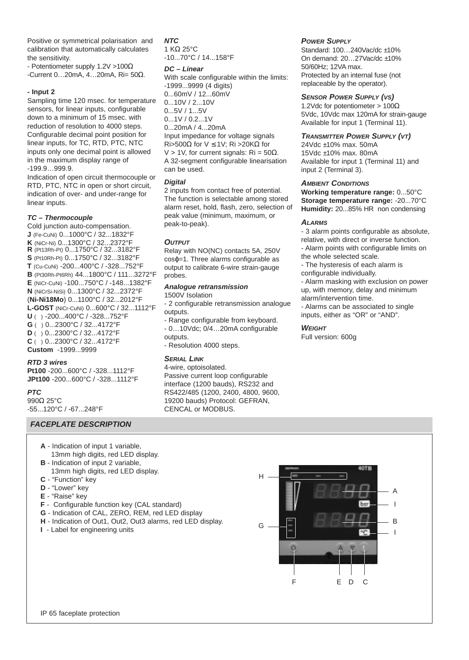Positive or symmetrical polarisation and calibration that automatically calculates the sensitivity.

- Potentiometer supply 1.2V >100Ω

-Current 0…20mA, 4…20mA, Ri= 50Ω.

## **- Input 2**

Sampling time 120 msec. for temperature sensors, for linear inputs, configurable down to a minimum of 15 msec. with reduction of resolution to 4000 steps. Configurable decimal point position for linear inputs, for TC, RTD, PTC, NTC inputs only one decimal point is allowed in the maximum display range of -199.9…999.9.

Indication of open circuit thermocouple or RTD, PTC, NTC in open or short circuit, indication of over- and under-range for linear inputs.

## **TC – Thermocouple**

Cold junction auto-compensation. **J** (Fe-CuNi) 0...1000°C / 32...1832°F **K** (NiCr-Ni) 0...1300°C / 32...2372°F **R** (Pt13Rh-Pt) 0...1750°C / 32...3182°F **S** (Pt10Rh-Pt) 0...1750°C / 32...3182°F **T** (Cu-CuNi) -200...400°C / -328...752°F **B** (Pt30Rh-Pt6Rh) 44...1800°C / 111...3272°F **E** (NiCr-CuNi) -100...750°C / -148...1382°F **N** (NiCrSi-NiSi) 0...1300°C / 32...2372°F (**Ni-Ni18Mo**) 0...1100°C / 32...2012°F **L-GOST** (NiCr-CuNi) 0...600°C / 32...1112°F **U** ( ) -200...400°C / -328...752°F **G** ( ) 0...2300°C / 32...4172°F **D** ( ) 0...2300°C / 32...4172°F **C** ( ) 0...2300°C / 32...4172°F **Custom** -1999...9999

#### **RTD 3 wires**

**Pt100** -200...600°C / -328...1112°F **JPt100** -200...600°C / -328...1112°F

#### **PTC**

990Q 25°C -55...120°C / -67...248°F

## **FACEPLATE DESCRIPTION**

- **A** Indication of input 1 variable, 13mm high digits, red LED display.
- **B** Indication of input 2 variable,
- 13mm high digits, red LED display. **C** - "Function" key
- 
- **D** "Lower" key
- **E** "Raise" key
- **F** Configurable function key (CAL standard)
- **G** Indication of CAL, ZERO, REM, red LED display
- **H** Indication of Out1, Out2, Out3 alarms, red LED display.
- **I** Label for engineering units

**NTC** 1 KΩ 25°C -10...70°C / 14...158°F

#### **DC – Linear**

With scale configurable within the limits: -1999...9999 (4 digits) 0...60mV / 12...60mV 0...10V / 2...10V 0...5V / 1...5V 0...1V / 0.2...1V 0...20mA / 4...20mA Input impedance for voltage signals Ri>500Ω for V ≤ 1V; Ri >20KΩ for V > 1V, for current signals:  $\text{Ri} = 50\Omega$ . A 32-segment configurable linearisation can be used.

#### **Digital**

2 inputs from contact free of potential. The function is selectable among stored alarm reset, hold, flash, zero, selection of peak value (minimum, maximum, or peak-to-peak).

## **OUTPUT**

Relay with NO(NC) contacts 5A, 250V cosϕ=1. Three alarms configurable as output to calibrate 6-wire strain-gauge probes.

#### **Analogue retransmission** 1500V Isolation

- 2 configurable retransmission analogue outputs.

- Range configurable from keyboard. - 0…10Vdc; 0/4…20mA configurable outputs.

- Resolution 4000 steps.

## **SERIAL LINK**

4-wire, optoisolated. Passive current loop configurable interface (1200 bauds), RS232 and RS422/485 (1200, 2400, 4800, 9600, 19200 bauds) Protocol: GEFRAN, CENCAL or MODBUS.

## **POWER SUPPLY**

Standard: 100...240Vac/dc ±10% On demand: 20…27Vac/dc ±10% 50/60Hz; 12VA max. Protected by an internal fuse (not replaceable by the operator).

## **SENSOR POWER SUPPLY (VS)**

1.2Vdc for potentiometer > 100 $\Omega$ 5Vdc, 10Vdc max 120mA for strain-gauge Available for input 1 (Terminal 11).

## **TRANSMITTER POWER SUPPLY (VT)**

24Vdc ±10% max. 50mA 15Vdc ±10% max. 80mA Available for input 1 (Terminal 11) and input 2 (Terminal 3).

## **AMBIENT CONDITIONS**

**Working temperature range:** 0...50°C **Storage temperature range:** -20...70°C **Humidity:** 20...85% HR non condensing

## **ALARMS**

- 3 alarm points configurable as absolute, relative, with direct or inverse function. - Alarm points with configurable limits on

the whole selected scale.

- The hysteresis of each alarm is

configurable individually.

- Alarm masking with exclusion on power up, with memory, delay and minimum alarm/intervention time.

- Alarms can be associated to single inputs, either as "OR" or "AND".

#### **WEIGHT**

Full version: 600g



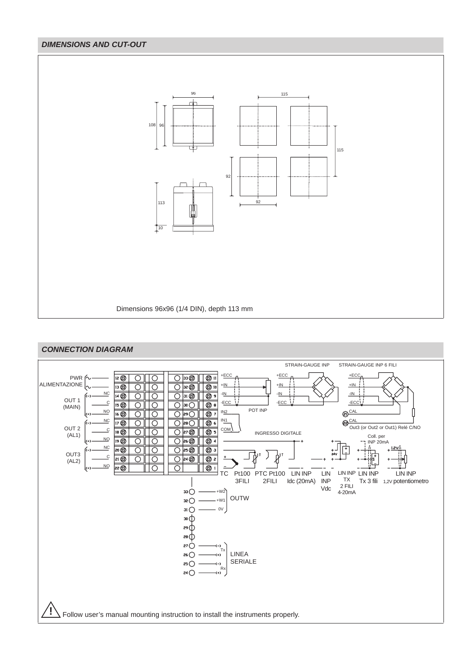# **DIMENSIONS AND CUT-OUT**